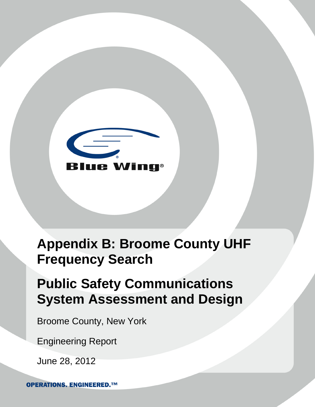

# **Appendix B: Broome County UHF Frequency Search**

# **Public Safety Communications System Assessment and Design**

Broome County, New York

Engineering Report

June 28, 2012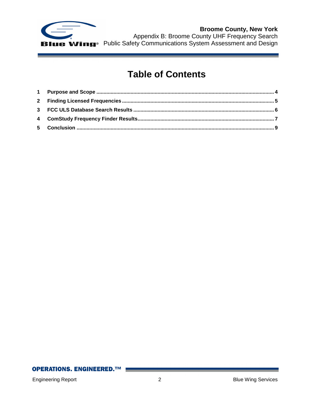

**Broome County, New York** Appendix B: Broome County UHF Frequency Search Public Safety Communications System Assessment and Design

# **Table of Contents**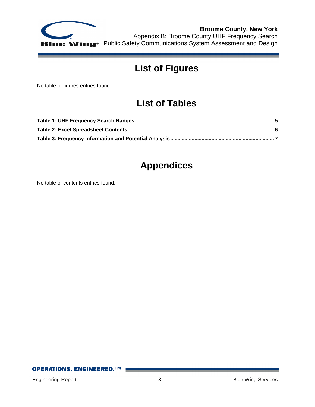

**Broome County, New York** Appendix B: Broome County UHF Frequency Search Public Safety Communications System Assessment and Design

# **List of Figures**

No table of figures entries found.

# **List of Tables**

# **Appendices**

No table of contents entries found.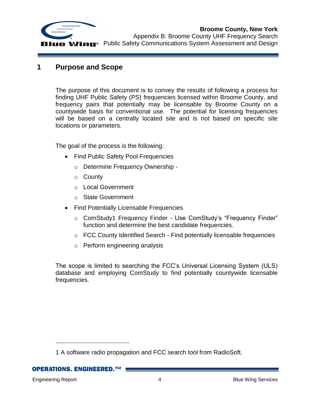

<span id="page-3-0"></span>**1 Purpose and Scope**

The purpose of this document is to convey the results of following a process for finding UHF Public Safety (PS) frequencies licensed within Broome County, and frequency pairs that potentially may be licensable by Broome County on a countywide basis for conventional use. The potential for licensing frequencies will be based on a centrally located site and is not based on specific site locations or parameters.

The goal of the process is the following:

- Find Public Safety Pool Frequencies
	- o Determine Frequency Ownership -
	- o County
	- o Local Government
	- o State Government
- Find Potentially Licensable Frequencies
	- o ComStudy1 Frequency Finder Use ComStudy's "Frequency Finder" function and determine the best candidate frequencies.
	- o FCC County Identified Search Find potentially licensable frequencies
	- o Perform engineering analysis

The scope is limited to searching the FCC's Universal Licensing System (ULS) database and employing ComStudy to find potentially countywide licensable frequencies.

**OPERATIONS. ENGINEERED. ™** 

 $\overline{a}$ 

<sup>1</sup> A software radio propagation and FCC search tool from RadioSoft.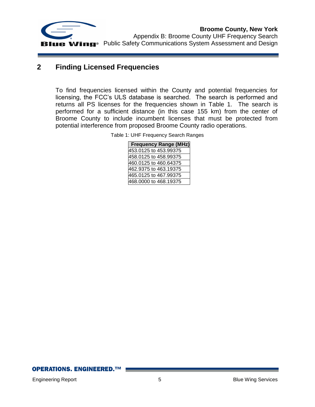

**Broome County, New York** Appendix B: Broome County UHF Frequency Search **LIE Wing**<sup>®</sup> Public Safety Communications System Assessment and Design

### <span id="page-4-0"></span>**2 Finding Licensed Frequencies**

<span id="page-4-1"></span>To find frequencies licensed within the County and potential frequencies for licensing, the FCC's ULS database is searched. The search is performed and returns all PS licenses for the frequencies shown in [Table 1.](#page-4-1) The search is performed for a sufficient distance (in this case 155 km) from the center of Broome County to include incumbent licenses that must be protected from potential interference from proposed Broome County radio operations.

Table 1: UHF Frequency Search Ranges

| <b>Frequency Range (MHz)</b> |
|------------------------------|
| 453.0125 to 453.99375        |
| 458.0125 to 458.99375        |
| 460.0125 to 460.64375        |
| 462.9375 to 463.19375        |
| 465.0125 to 467.99375        |
| 468.0000 to 468.19375        |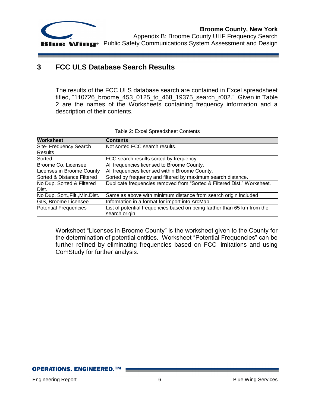

Appendix B: Broome County UHF Frequency Search **Blue Wing**<sup>®</sup> Public Safety Communications System Assessment and Design

## <span id="page-5-0"></span>**3 FCC ULS Database Search Results**

The results of the FCC ULS database search are contained in Excel spreadsheet titled, "110726 broome 453\_0125\_to\_468\_19375\_search\_r002." Given in Table [2](#page-5-1) are the names of the Worksheets containing frequency information and a description of their contents.

<span id="page-5-1"></span>

| <b>Worksheet</b>                 | <b>Contents</b>                                                          |  |  |  |  |
|----------------------------------|--------------------------------------------------------------------------|--|--|--|--|
| Site- Frequency Search           | Not sorted FCC search results.                                           |  |  |  |  |
| <b>Results</b>                   |                                                                          |  |  |  |  |
| Sorted                           | FCC search results sorted by frequency.                                  |  |  |  |  |
| Broome Co. Licensee              | All frequencies licensed to Broome County.                               |  |  |  |  |
| Licenses in Broome County        | All frequencies licensed within Broome County.                           |  |  |  |  |
| Sorted & Distance Filtered       | Sorted by frequency and filtered by maximum search distance.             |  |  |  |  |
| No Dup. Sorted & Filtered        | Duplicate frequencies removed from "Sorted & Filtered Dist." Worksheet.  |  |  |  |  |
| Dist.                            |                                                                          |  |  |  |  |
| No Dup. Sort., Filt., Min. Dist. | Same as above with minimum distance from search origin included          |  |  |  |  |
| GIS, Broome Licensee             | Information in a format for import into ArcMap                           |  |  |  |  |
| Potential Frequencies            | List of potential frequencies based on being farther than 65 km from the |  |  |  |  |
|                                  | search origin                                                            |  |  |  |  |

Worksheet "Licenses in Broome County" is the worksheet given to the County for the determination of potential entities. Worksheet "Potential Frequencies" can be further refined by eliminating frequencies based on FCC limitations and using ComStudy for further analysis.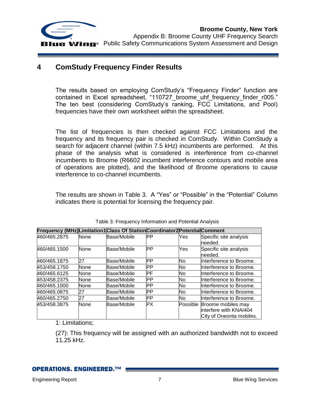

### <span id="page-6-0"></span>**4 ComStudy Frequency Finder Results**

The results based on employing ComStudy's "Frequency Finder" function are contained in Excel spreadsheet, "110727\_broome\_uhf\_frequency\_finder\_r005." The ten best (considering ComStudy's ranking, FCC Limitations, and Pool) frequencies have their own worksheet within the spreadsheet.

The list of frequencies is then checked against FCC Limitations and the frequency and its frequency pair is checked in ComStudy. Within ComStudy a search for adjacent channel (within 7.5 kHz) incumbents are performed. At this phase of the analysis what is considered is interference from co-channel incumbents to Broome (R6602 incumbent interference contours and mobile area of operations are plotted), and the likelihood of Broome operations to cause interference to co-channel incumbents.

The results are shown in [Table 3.](#page-6-1) A "Yes" or "Possible" in the "Potential" Column indicates there is potential for licensing the frequency pair.

<span id="page-6-1"></span>

|              |             | Frequency (MHz)Limitation1 Class Of Station Coordinator2 Potential Comment |           |     |                                                                                    |
|--------------|-------------|----------------------------------------------------------------------------|-----------|-----|------------------------------------------------------------------------------------|
| 460/465.2875 | None        | Base/Mobile                                                                | PР        | Yes | Specific site analysis<br>needed.                                                  |
| 460/465.1500 | None        | Base/Mobile                                                                | PР        | Yes | Specific site analysis<br>needed.                                                  |
| 460/465.1875 | 27          | Base/Mobile                                                                | IРP       | No  | Interference to Broome.                                                            |
| 453/458.1750 | <b>None</b> | Base/Mobile                                                                | PР        | No  | Interference to Broome.                                                            |
| 460/465.6125 | <b>None</b> | Base/Mobile                                                                | РF        | No  | Interference to Broome.                                                            |
| 453/458.2375 | None        | Base/Mobile                                                                | PР        | No  | Interference to Broome.                                                            |
| 460/465.1000 | None        | Base/Mobile                                                                | PР        | No  | Interference to Broome.                                                            |
| 460/465.0875 | 27          | Base/Mobile                                                                | IРP       | No. | Interference to Broome.                                                            |
| 460/465.2750 | 27          | Base/Mobile                                                                | IРP       | No  | Interference to Broome.                                                            |
| 453/458.3875 | None        | Base/Mobile                                                                | <b>PX</b> |     | Possible Broome mobiles may<br>linterfere with KNAI404<br>City of Oneonta mobiles. |

Table 3: Frequency Information and Potential Analysis

1: Limitations;

(27): This frequency will be assigned with an authorized bandwidth not to exceed 11.25 kHz.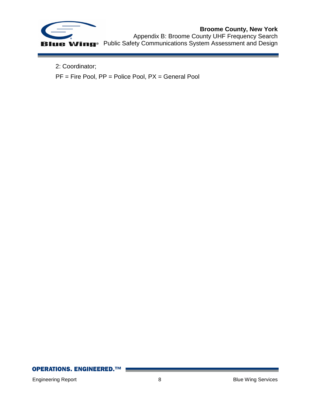

## **Broome County, New York**

Appendix B: Broome County UHF Frequency Search Public Safety Communications System Assessment and Design

2: Coordinator;

PF = Fire Pool, PP = Police Pool, PX = General Pool